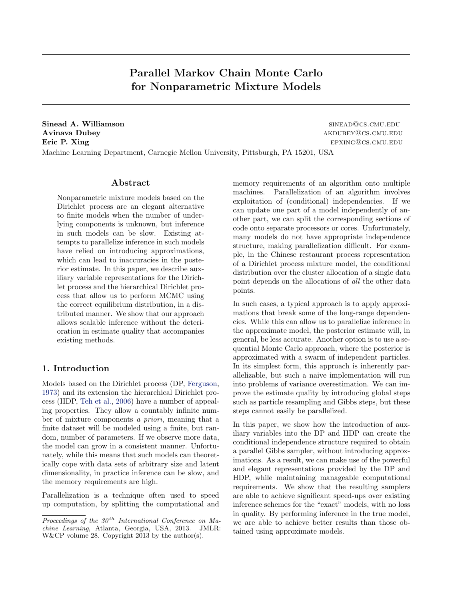Parallel Markov Chain Monte Carlo for Nonparametric Mixture Models

Sinead A. Williamson sinead A. Williamson sinead A. Williamson Avinava Dubey and the settlement of the settlement of the settlement of the settlement of the settlement of the settlement of the settlement of the settlement of the settlement of the settlement of the settlement of the se Eric P. Xing epxing@cs.cmu.edu Machine Learning Department, Carnegie Mellon University, Pittsburgh, PA 15201, USA

# Abstract

Nonparametric mixture models based on the Dirichlet process are an elegant alternative to finite models when the number of underlying components is unknown, but inference in such models can be slow. Existing attempts to parallelize inference in such models have relied on introducing approximations, which can lead to inaccuracies in the posterior estimate. In this paper, we describe auxiliary variable representations for the Dirichlet process and the hierarchical Dirichlet process that allow us to perform MCMC using the correct equilibrium distribution, in a distributed manner. We show that our approach allows scalable inference without the deterioration in estimate quality that accompanies existing methods.

# 1. Introduction

Models based on the Dirichlet process (DP, [Ferguson,](#page-8-0) [1973\)](#page-8-0) and its extension the hierarchical Dirichlet process (HDP, [Teh et al.,](#page-8-0) [2006\)](#page-8-0) have a number of appealing properties. They allow a countably infinite number of mixture components a priori, meaning that a finite dataset will be modeled using a finite, but random, number of parameters. If we observe more data, the model can grow in a consistent manner. Unfortunately, while this means that such models can theoretically cope with data sets of arbitrary size and latent dimensionality, in practice inference can be slow, and the memory requirements are high.

Parallelization is a technique often used to speed up computation, by splitting the computational and memory requirements of an algorithm onto multiple machines. Parallelization of an algorithm involves exploitation of (conditional) independencies. If we can update one part of a model independently of another part, we can split the corresponding sections of code onto separate processors or cores. Unfortunately, many models do not have appropriate independence structure, making parallelization difficult. For example, in the Chinese restaurant process representation of a Dirichlet process mixture model, the conditional distribution over the cluster allocation of a single data point depends on the allocations of all the other data points.

In such cases, a typical approach is to apply approximations that break some of the long-range dependencies. While this can allow us to parallelize inference in the approximate model, the posterior estimate will, in general, be less accurate. Another option is to use a sequential Monte Carlo approach, where the posterior is approximated with a swarm of independent particles. In its simplest form, this approach is inherently parallelizable, but such a naive implementation will run into problems of variance overestimation. We can improve the estimate quality by introducing global steps such as particle resampling and Gibbs steps, but these steps cannot easily be parallelized.

In this paper, we show how the introduction of auxiliary variables into the DP and HDP can create the conditional independence structure required to obtain a parallel Gibbs sampler, without introducing approximations. As a result, we can make use of the powerful and elegant representations provided by the DP and HDP, while maintaining manageable computational requirements. We show that the resulting samplers are able to achieve significant speed-ups over existing inference schemes for the "exact" models, with no loss in quality. By performing inference in the true model, we are able to achieve better results than those obtained using approximate models.

Proceedings of the  $30<sup>th</sup>$  International Conference on Machine Learning, Atlanta, Georgia, USA, 2013. JMLR: W&CP volume 28. Copyright 2013 by the author(s).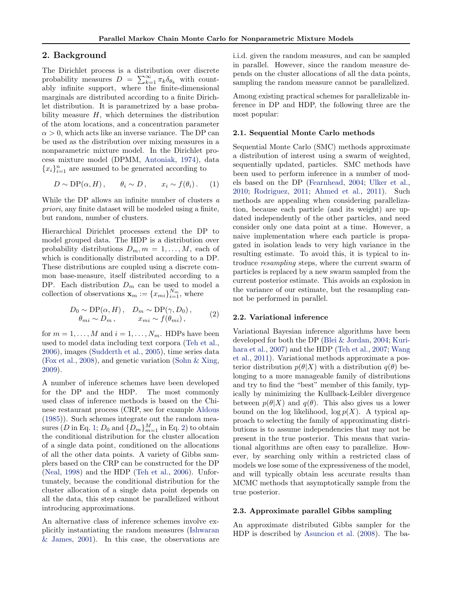## <span id="page-1-0"></span>2. Background

The Dirichlet process is a distribution over discrete probability measures  $D = \sum_{k=1}^{\infty} \pi_k \delta_{\theta_k}$  with countably infinite support, where the finite-dimensional marginals are distributed according to a finite Dirichlet distribution. It is parametrized by a base probability measure  $H$ , which determines the distribution of the atom locations, and a concentration parameter  $\alpha > 0$ , which acts like an inverse variance. The DP can be used as the distribution over mixing measures in a nonparametric mixture model. In the Dirichlet process mixture model (DPMM, [Antoniak,](#page-8-0) [1974\)](#page-8-0), data  ${x_i}_{i=1}^n$  are assumed to be generated according to

$$
D \sim \text{DP}(\alpha, H), \qquad \theta_i \sim D, \qquad x_i \sim f(\theta_i). \tag{1}
$$

While the DP allows an infinite number of clusters a priori, any finite dataset will be modeled using a finite, but random, number of clusters.

Hierarchical Dirichlet processes extend the DP to model grouped data. The HDP is a distribution over probability distributions  $D_m, m = 1, \ldots, M$ , each of which is conditionally distributed according to a DP. These distributions are coupled using a discrete common base-measure, itself distributed according to a DP. Each distribution  $D_m$  can be used to model a collection of observations  $\mathbf{x}_m := \{x_{mi}\}_{i=1}^{N_m}$ , where

$$
D_0 \sim \text{DP}(\alpha, H), \quad D_m \sim \text{DP}(\gamma, D_0),
$$
  
\n
$$
\theta_{mi} \sim D_m, \qquad x_{mi} \sim f(\theta_{mi}),
$$
 (2)

for  $m = 1, \ldots, M$  and  $i = 1, \ldots, N_m$ . HDPs have been used to model data including text corpora [\(Teh et al.,](#page-8-0) [2006\)](#page-8-0), images [\(Sudderth et al.,](#page-8-0) [2005\)](#page-8-0), time series data [\(Fox et al.,](#page-8-0) [2008\)](#page-8-0), and genetic variation [\(Sohn & Xing,](#page-8-0) [2009\)](#page-8-0).

A number of inference schemes have been developed for the DP and the HDP. The most commonly used class of inference methods is based on the Chinese restaurant process (CRP, see for example [Aldous](#page-8-0) [\(1985\)](#page-8-0)). Such schemes integrate out the random measures (D in Eq. 1;  $D_0$  and  $\{D_m\}_{m=1}^M$  in Eq. 2) to obtain the conditional distribution for the cluster allocation of a single data point, conditioned on the allocations of all the other data points. A variety of Gibbs samplers based on the CRP can be constructed for the DP [\(Neal,](#page-8-0) [1998\)](#page-8-0) and the HDP [\(Teh et al.,](#page-8-0) [2006\)](#page-8-0). Unfortunately, because the conditional distribution for the cluster allocation of a single data point depends on all the data, this step cannot be parallelized without introducing approximations.

An alternative class of inference schemes involve explicitly instantiating the random measures [\(Ishwaran](#page-8-0) [& James,](#page-8-0) [2001\)](#page-8-0). In this case, the observations are i.i.d. given the random measures, and can be sampled in parallel. However, since the random measure depends on the cluster allocations of all the data points, sampling the random measure cannot be parallelized.

Among existing practical schemes for parallelizable inference in DP and HDP, the following three are the most popular:

## 2.1. Sequential Monte Carlo methods

Sequential Monte Carlo (SMC) methods approximate a distribution of interest using a swarm of weighted, sequentially updated, particles. SMC methods have been used to perform inference in a number of models based on the DP [\(Fearnhead,](#page-8-0) [2004;](#page-8-0) [Ulker et al.,](#page-8-0) [2010;](#page-8-0) [Rodriguez,](#page-8-0) [2011;](#page-8-0) [Ahmed et al.,](#page-8-0) [2011\)](#page-8-0). Such methods are appealing when considering parallelization, because each particle (and its weight) are updated independently of the other particles, and need consider only one data point at a time. However, a naive implementation where each particle is propagated in isolation leads to very high variance in the resulting estimate. To avoid this, it is typical to introduce resampling steps, where the current swarm of particles is replaced by a new swarm sampled from the current posterior estimate. This avoids an explosion in the variance of our estimate, but the resampling cannot be performed in parallel.

## 2.2. Variational inference

Variational Bayesian inference algorithms have been developed for both the DP [\(Blei & Jordan,](#page-8-0) [2004;](#page-8-0) [Kuri](#page-8-0)[hara et al.,](#page-8-0) [2007\)](#page-8-0) and the HDP [\(Teh et al.,](#page-8-0) [2007;](#page-8-0) [Wang](#page-8-0) [et al.,](#page-8-0) [2011\)](#page-8-0). Variational methods approximate a posterior distribution  $p(\theta|X)$  with a distribution  $q(\theta)$  belonging to a more manageable family of distributions and try to find the "best" member of this family, typically by minimizing the Kullback-Leibler divergence between  $p(\theta|X)$  and  $q(\theta)$ . This also gives us a lower bound on the log likelihood,  $\log p(X)$ . A typical approach to selecting the family of approximating distributions is to assume independencies that may not be present in the true posterior. This means that variational algorithms are often easy to parallelize. However, by searching only within a restricted class of models we lose some of the expressiveness of the model, and will typically obtain less accurate results than MCMC methods that asymptotically sample from the true posterior.

## 2.3. Approximate parallel Gibbs sampling

An approximate distributed Gibbs sampler for the HDP is described by [Asuncion et al.](#page-8-0) [\(2008\)](#page-8-0). The ba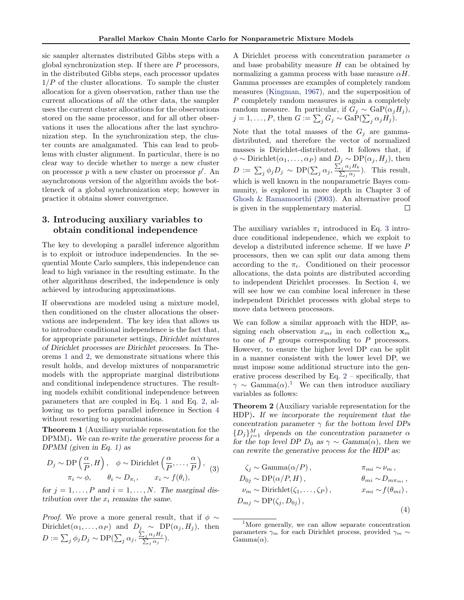<span id="page-2-0"></span>sic sampler alternates distributed Gibbs steps with a global synchronization step. If there are  $P$  processors, in the distributed Gibbs steps, each processor updates  $1/P$  of the cluster allocations. To sample the cluster allocation for a given observation, rather than use the current allocations of all the other data, the sampler uses the current cluster allocations for the observations stored on the same processor, and for all other observations it uses the allocations after the last synchronization step. In the synchronization step, the cluster counts are amalgamated. This can lead to problems with cluster alignment. In particular, there is no clear way to decide whether to merge a new cluster on processor  $p$  with a new cluster on processor  $p'$ . An asynchronous version of the algorithm avoids the bottleneck of a global synchronization step; however in practice it obtains slower convergence.

# 3. Introducing auxiliary variables to obtain conditional independence

The key to developing a parallel inference algorithm is to exploit or introduce independencies. In the sequential Monte Carlo samplers, this independence can lead to high variance in the resulting estimate. In the other algorithms described, the independence is only achieved by introducing approximations.

If observations are modeled using a mixture model, then conditioned on the cluster allocations the observations are independent. The key idea that allows us to introduce conditional independence is the fact that, for appropriate parameter settings, Dirichlet mixtures of Dirichlet processes are Dirichlet processes. In Theorems 1 and 2, we demonstrate situations where this result holds, and develop mixtures of nonparametric models with the appropriate marginal distributions and conditional independence structures. The resulting models exhibit conditional independence between parameters that are coupled in Eq. [1](#page-1-0) and Eq. [2,](#page-1-0) allowing us to perform parallel inference in Section [4](#page-3-0) without resorting to approximations.

Theorem 1 (Auxiliary variable representation for the DPMM). We can re-write the generative process for a DPMM (given in Eq. [1\)](#page-1-0) as

$$
D_j \sim \mathrm{DP}\left(\frac{\alpha}{P}, H\right), \quad \phi \sim \mathrm{Dirichlet}\left(\frac{\alpha}{P}, \dots, \frac{\alpha}{P}\right), \quad (3)
$$

$$
\pi_i \sim \phi, \qquad \theta_i \sim D_{\pi_i}, \qquad x_i \sim f(\theta_i),
$$

for  $j = 1, \ldots, P$  and  $i = 1, \ldots, N$ . The marginal distribution over the  $x_i$  remains the same.

*Proof.* We prove a more general result, that if  $\phi \sim$ Dirichlet( $\alpha_1, \ldots, \alpha_P$ ) and  $D_j \sim \text{DP}(\alpha_j, H_j)$ , then  $D := \sum_j \phi_j D_j \sim \text{DP}(\sum_j \alpha_j, \frac{\sum_j \alpha_j H_j}{\sum_j \alpha_j}).$ 

A Dirichlet process with concentration parameter  $\alpha$ and base probability measure  $H$  can be obtained by normalizing a gamma process with base measure  $\alpha H$ . Gamma processes are examples of completely random measures [\(Kingman,](#page-8-0) [1967\)](#page-8-0), and the superposition of P completely random measures is again a completely random measure. In particular, if  $G_i \sim \text{GaP}(\alpha_i H_i)$ ,  $j = 1, \ldots, P$ , then  $G := \sum_j G_j \sim \text{GaP}(\sum_j \alpha_j H_j)$ .

Note that the total masses of the  $G_j$  are gammadistributed, and therefore the vector of normalized masses is Dirichlet-distributed. It follows that, if  $\phi \sim \text{Dirichlet}(\alpha_1, \ldots, \alpha_P)$  and  $D_j \sim \text{DP}(\alpha_j, H_j)$ , then  $D := \sum_j \phi_j D_j \sim \text{DP}(\sum_j \alpha_j, \frac{\sum_j \alpha_j H_k}{\sum_j \alpha_j}).$  This result, which is well known in the nonparametric Bayes community, is explored in more depth in Chapter 3 of [Ghosh & Ramamoorthi](#page-8-0) [\(2003\)](#page-8-0). An alternative proof is given in the supplementary material.  $\Box$ 

The auxiliary variables  $\pi_i$  introduced in Eq. 3 introduce conditional independence, which we exploit to develop a distributed inference scheme. If we have P processors, then we can split our data among them according to the  $\pi_i$ . Conditioned on their processor allocations, the data points are distributed according to independent Dirichlet processes. In Section [4,](#page-3-0) we will see how we can combine local inference in these independent Dirichlet processes with global steps to move data between processors.

We can follow a similar approach with the HDP, assigning each observation  $x_{mi}$  in each collection  $x_m$ to one of  $P$  groups corresponding to  $P$  processors. However, to ensure the higher level DP can be split in a manner consistent with the lower level DP, we must impose some additional structure into the generative process described by Eq.  $2$  – specifically, that  $\gamma \sim \text{Gamma}(\alpha)$ <sup>1</sup> We can then introduce auxiliary variables as follows:

Theorem 2 (Auxiliary variable representation for the HDP). If we incorporate the requirement that the concentration parameter  $\gamma$  for the bottom level DPs  ${D_j}_{j=1}^M$  depends on the concentration parameter  $\alpha$ for the top level DP  $D_0$  as  $\gamma \sim \text{Gamma}(\alpha)$ , then we can rewrite the generative process for the HDP as:

$$
\zeta_j \sim \text{Gamma}(\alpha/P), \qquad \pi_{mi} \sim \nu_m,
$$
  
\n
$$
D_{0j} \sim \text{DP}(\alpha/P, H), \qquad \theta_{mi} \sim D_{m\pi_{mi}},
$$
  
\n
$$
\nu_m \sim \text{Dirichlet}(\zeta_1, \dots, \zeta_P), \qquad x_{mi} \sim f(\theta_{mi}),
$$
  
\n
$$
D_{mj} \sim \text{DP}(\zeta_j, D_{0j}),
$$
  
\n(4)

<sup>&</sup>lt;sup>1</sup>More generally, we can allow separate concentration parameters  $\gamma_m$  for each Dirichlet process, provided  $\gamma_m \sim$  $Gamma(\alpha)$ .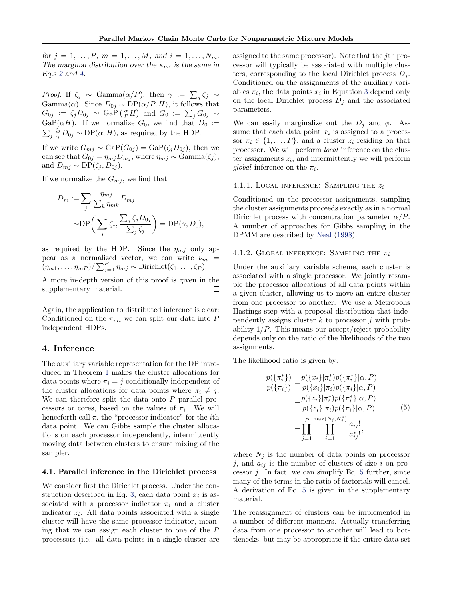<span id="page-3-0"></span>for  $j = 1, ..., P, m = 1, ..., M,$  and  $i = 1, ..., N_m$ . The marginal distribution over the  $x_{mi}$  is the same in Eq.s [2](#page-1-0) and [4.](#page-2-0)

*Proof.* If  $\zeta_j \sim \text{Gamma}(\alpha/P)$ , then  $\gamma := \sum_j \zeta_j \sim$ Gamma $(\alpha)$ . Since  $D_{0j} \sim DP(\alpha/P, H)$ , it follows that  $G_{0j}\;:=\;\zeta_jD_{0j}\;\sim\;{\rm GaP}\left(\frac{\alpha}{P}H\right)\;{\rm and}\;\,G_0\;:=\;\sum_j G_{0j}\;\sim\;$ GaP( $\alpha$ H). If we normalize  $G_0$ , we find that  $D_0 :=$  $\sum_j \frac{\zeta_j}{\gamma} D_{0j} \sim \text{DP}(\alpha, H)$ , as required by the HDP.

If we write  $G_{mj} \sim \text{GaP}(G_{0j}) = \text{GaP}(\zeta_j D_{0j}),$  then we can see that  $G_{0j} = \eta_{mj} D_{mj}$ , where  $\eta_{mj} \sim \text{Gamma}(\zeta_j)$ , and  $D_{mj} \sim \text{DP}(\zeta_j, D_{0j}).$ 

If we normalize the  $G_{mj}$ , we find that

$$
D_m := \sum_j \frac{\eta_{mj}}{\sum_k \eta_{mk}} D_{mj}
$$
  
 
$$
\sim \mathrm{DP}\bigg(\sum_j \zeta_j, \frac{\sum_j \zeta_j D_{0j}}{\sum_j \zeta_j}\bigg) = \mathrm{DP}(\gamma, D_0),
$$

as required by the HDP. Since the  $\eta_{mj}$  only appear as a normalized vector, we can write  $\nu_m$  =  $(\eta_{m1}, \ldots, \eta_{mP})/\sum_{j=1}^P \eta_{mj} \sim \text{Dirichlet}(\zeta_1, \ldots, \zeta_P).$ 

A more in-depth version of this proof is given in the supplementary material. П

Again, the application to distributed inference is clear: Conditioned on the  $\pi_{mi}$  we can split our data into P independent HDPs.

## 4. Inference

The auxiliary variable representation for the DP introduced in Theorem [1](#page-2-0) makes the cluster allocations for data points where  $\pi_i = j$  conditionally independent of the cluster allocations for data points where  $\pi_i \neq j$ . We can therefore split the data onto  $P$  parallel processors or cores, based on the values of  $\pi_i$ . We will henceforth call  $\pi_i$  the "processor indicator" for the *i*th data point. We can Gibbs sample the cluster allocations on each processor independently, intermittently moving data between clusters to ensure mixing of the sampler.

## 4.1. Parallel inference in the Dirichlet process

We consider first the Dirichlet process. Under the con-struction described in Eq. [3,](#page-2-0) each data point  $x_i$  is associated with a processor indicator  $\pi_i$  and a cluster indicator  $z_i$ . All data points associated with a single cluster will have the same processor indicator, meaning that we can assign each cluster to one of the P processors (i.e., all data points in a single cluster are

assigned to the same processor). Note that the jth processor will typically be associated with multiple clusters, corresponding to the local Dirichlet process  $D_i$ . Conditioned on the assignments of the auxiliary variables  $\pi_i$ , the data points  $x_i$  in Equation [3](#page-2-0) depend only on the local Dirichlet process  $D_j$  and the associated parameters.

We can easily marginalize out the  $D_j$  and  $\phi$ . Assume that each data point  $x_i$  is assigned to a processor  $\pi_i \in \{1, \ldots, P\}$ , and a cluster  $z_i$  residing on that processor. We will perform local inference on the cluster assignments  $z_i$ , and intermittently we will perform global inference on the  $\pi_i$ .

#### 4.1.1. LOCAL INFERENCE: SAMPLING THE  $z_i$

Conditioned on the processor assignments, sampling the cluster assignments proceeds exactly as in a normal Dirichlet process with concentration parameter  $\alpha/P$ . A number of approaches for Gibbs sampling in the DPMM are described by [Neal](#page-8-0) [\(1998\)](#page-8-0).

#### 4.1.2. GLOBAL INFERENCE: SAMPLING THE  $\pi_i$

Under the auxiliary variable scheme, each cluster is associated with a single processor. We jointly resample the processor allocations of all data points within a given cluster, allowing us to move an entire cluster from one processor to another. We use a Metropolis Hastings step with a proposal distribution that independently assigns cluster  $k$  to processor  $j$  with probability  $1/P$ . This means our accept/reject probability depends only on the ratio of the likelihoods of the two assignments.

The likelihood ratio is given by:

$$
\frac{p(\{\pi_i^*\})}{p(\{\pi_i\})} = \frac{p(\{x_i\}|\pi_i^*)p(\{\pi_i^*\}|\alpha, P)}{p(\{x_i\}|\pi_i)p(\{\pi_i\}|\alpha, P)}
$$
\n
$$
= \frac{p(\{z_i\}|\pi_i^*)p(\{\pi_i^*\}|\alpha, P)}{p(\{z_i\}|\pi_i)p(\{\pi_i\}|\alpha, P)}
$$
\n
$$
= \prod_{j=1}^P \prod_{i=1}^{\max(N_j, N_j^*)} \frac{a_{ij}!}{a_{ij}^*!},
$$
\n(5)

where  $N_j$  is the number of data points on processor j, and  $a_{ij}$  is the number of clusters of size i on processor  $j$ . In fact, we can simplify Eq. 5 further, since many of the terms in the ratio of factorials will cancel. A derivation of Eq. 5 is given in the supplementary material.

The reassignment of clusters can be implemented in a number of different manners. Actually transferring data from one processor to another will lead to bottlenecks, but may be appropriate if the entire data set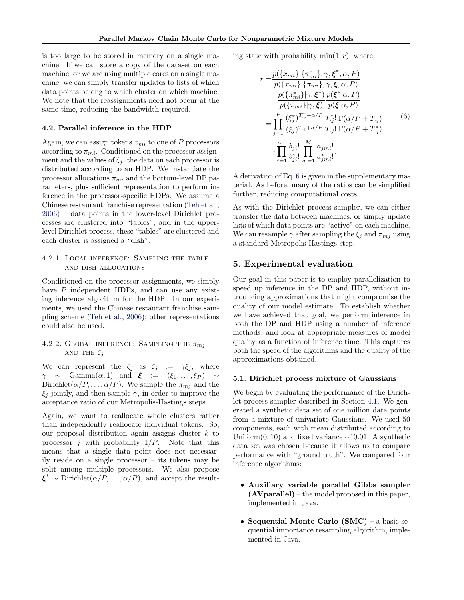is too large to be stored in memory on a single machine. If we can store a copy of the dataset on each machine, or we are using multiple cores on a single machine, we can simply transfer updates to lists of which data points belong to which cluster on which machine. We note that the reassignments need not occur at the same time, reducing the bandwidth required.

### 4.2. Parallel inference in the HDP

Again, we can assign tokens  $x_{mi}$  to one of P processors according to  $\pi_{mi}$ . Conditioned on the processor assignment and the values of  $\zeta_j$ , the data on each processor is distributed according to an HDP. We instantiate the processor allocations  $\pi_{mi}$  and the bottom-level DP parameters, plus sufficient representation to perform inference in the processor-specific HDPs. We assume a Chinese restaurant franchise representation [\(Teh et al.,](#page-8-0) [2006\)](#page-8-0) – data points in the lower-level Dirichlet processes are clustered into "tables", and in the upperlevel Dirichlet process, these "tables" are clustered and each cluster is assigned a "dish".

# 4.2.1. Local inference: Sampling the table and dish allocations

Conditioned on the processor assignments, we simply have P independent HDPs, and can use any existing inference algorithm for the HDP. In our experiments, we used the Chinese restaurant franchise sampling scheme [\(Teh et al.,](#page-8-0) [2006\)](#page-8-0); other representations could also be used.

# 4.2.2. GLOBAL INFERENCE: SAMPLING THE  $\pi_{mi}$ AND THE  $\zeta_i$

We can represent the  $\zeta_i$  as  $\zeta_i := \gamma \xi_i$ , where  $\gamma \sim$  Gamma $(\alpha, 1)$  and  $\xi := (\xi_1, \ldots, \xi_P) \sim$ Dirichlet $(\alpha/P, \ldots, \alpha/P)$ . We sample the  $\pi_{mj}$  and the  $\xi_i$  jointly, and then sample  $\gamma$ , in order to improve the acceptance ratio of our Metropolis-Hastings steps.

Again, we want to reallocate whole clusters rather than independently reallocate individual tokens. So, our proposal distribution again assigns cluster  $k$  to processor *j* with probability  $1/P$ . Note that this means that a single data point does not necessarily reside on a single processor – its tokens may be split among multiple processors. We also propose  $\bar{\xi}^* \sim \text{Dirichlet}(\alpha/P, \ldots, \alpha/P)$ , and accept the resulting state with probability  $min(1, r)$ , where

$$
r = \frac{p({x_{mi}}|{\pi_{mi}^*}, \gamma, \xi^*, \alpha, P)}{p({x_{mi}}|{\pi_{mi}}), \gamma, \xi, \alpha, P)}
$$
  
\n
$$
= \frac{p({\pi_{mi}^*}| \gamma, \xi^*) p(\xi^*| \alpha, P)}{p({\pi_{mi}}| \gamma, \xi)} \frac{p(\xi^*| \alpha, P)}{p(\xi| \alpha, P)}
$$
  
\n
$$
= \prod_{j=1}^P \frac{(\xi_j^*)^{T_j^* + \alpha/P}}{(\xi_j)^{T_j^* + \alpha/P}} \frac{T_j^*!}{T_j!} \frac{\Gamma(\alpha/P + T_j)}{\Gamma(\alpha/P + T_j^*)}
$$
  
\n
$$
\cdot \prod_{i=1}^{n} \frac{b_{ji}!}{b_{ji}^*!} \prod_{m=1}^M \frac{a_{jmi}!}{a_{jmi}^*!}.
$$
 (6)

A derivation of Eq. 6 is given in the supplementary material. As before, many of the ratios can be simplified further, reducing computational costs.

As with the Dirichlet process sampler, we can either transfer the data between machines, or simply update lists of which data points are "active" on each machine. We can resample  $\gamma$  after sampling the  $\xi_i$  and  $\pi_{m_i}$  using a standard Metropolis Hastings step.

# 5. Experimental evaluation

Our goal in this paper is to employ parallelization to speed up inference in the DP and HDP, without introducing approximations that might compromise the quality of our model estimate. To establish whether we have achieved that goal, we perform inference in both the DP and HDP using a number of inference methods, and look at appropriate measures of model quality as a function of inference time. This captures both the speed of the algorithms and the quality of the approximations obtained.

## 5.1. Dirichlet process mixture of Gaussians

We begin by evaluating the performance of the Dirichlet process sampler described in Section [4.1.](#page-3-0) We generated a synthetic data set of one million data points from a mixture of univariate Gaussians. We used 50 components, each with mean distributed according to Uniform $(0, 10)$  and fixed variance of 0.01. A synthetic data set was chosen because it allows us to compare performance with "ground truth". We compared four inference algorithms:

- Auxiliary variable parallel Gibbs sampler  $(AVparallel)$  – the model proposed in this paper, implemented in Java.
- Sequential Monte Carlo (SMC) a basic sequential importance resampling algorithm, implemented in Java.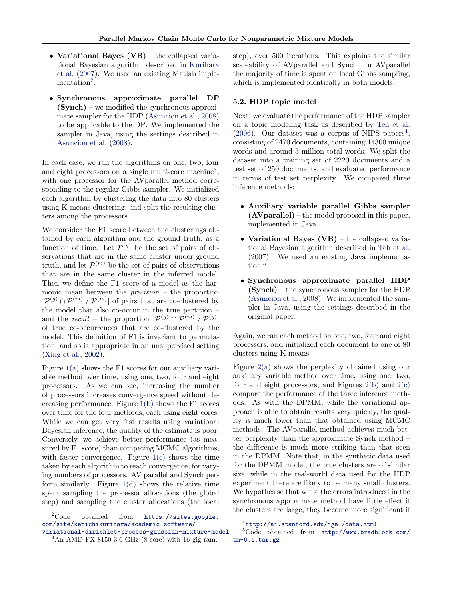- Variational Bayes (VB) the collapsed variational Bayesian algorithm described in [Kurihara](#page-8-0) [et al.](#page-8-0) [\(2007\)](#page-8-0). We used an existing Matlab implementation<sup>2</sup>.
- Synchronous approximate parallel DP (Synch) – we modified the synchronous approximate sampler for the HDP [\(Asuncion et al.,](#page-8-0) [2008\)](#page-8-0) to be applicable to the DP. We implemented the sampler in Java, using the settings described in [Asuncion et al.](#page-8-0) [\(2008\)](#page-8-0).

In each case, we ran the algorithms on one, two, four and eight processors on a single multi-core machine<sup>3</sup>, with one processor for the AVparallel method corresponding to the regular Gibbs sampler. We initialized each algorithm by clustering the data into 80 clusters using K-means clustering, and split the resulting clusters among the processors.

We consider the F1 score between the clusterings obtained by each algorithm and the ground truth, as a function of time. Let  $\mathcal{P}^{(g)}$  be the set of pairs of observations that are in the same cluster under ground truth, and let  $\mathcal{P}^{(m)}$  be the set of pairs of observations that are in the same cluster in the inferred model. Then we define the F1 score of a model as the harmonic mean between the *precision*  $-$  the proportion  $|\mathcal{P}^{(g)} \cap \mathcal{P}^{(m)}|/|\mathcal{P}^{(m)}|$  of pairs that are co-clustered by the model that also co-occur in the true partition – and the recall – the proportion  $|\mathcal{P}^{(g)} \cap \mathcal{P}^{(m)}|/|\mathcal{P}^{(g)}|$ of true co-occurrences that are co-clustered by the model. This definition of F1 is invariant to permutation, and so is appropriate in an unsupervised setting [\(Xing et al.,](#page-8-0) [2002\)](#page-8-0).

Figure [1\(a\)](#page-6-0) shows the F1 scores for our auxiliary variable method over time, using one, two, four and eight processors. As we can see, increasing the number of processors increases convergence speed without decreasing performance. Figure [1\(b\)](#page-6-0) shows the F1 scores over time for the four methods, each using eight cores. While we can get very fast results using variational Bayesian inference, the quality of the estimate is poor. Conversely, we achieve better performance (as measured by F1 score) than competing MCMC algorithms, with faster convergence. Figure  $1(c)$  shows the time taken by each algorithm to reach convergence, for varying numbers of processors. AV parallel and Synch perform similarly. Figure  $1(d)$  shows the relative time spent sampling the processor allocations (the global step) and sampling the cluster allocations (the local step), over 500 iterations. This explains the similar scaleability of AVparallel and Synch: In AVparallel the majority of time is spent on local Gibbs sampling, which is implemented identically in both models.

#### 5.2. HDP topic model

Next, we evaluate the performance of the HDP sampler on a topic modeling task as described by [Teh et al.](#page-8-0) [\(2006\)](#page-8-0). Our dataset was a corpus of NIPS papers<sup>4</sup>, consisting of 2470 documents, containing 14300 unique words and around 3 million total words. We split the dataset into a training set of 2220 documents and a test set of 250 documents, and evaluated performance in terms of test set perplexity. We compared three inference methods:

- Auxiliary variable parallel Gibbs sampler (AVparallel) – the model proposed in this paper, implemented in Java.
- Variational Bayes (VB) the collapsed variational Bayesian algorithm described in [Teh et al.](#page-8-0) [\(2007\)](#page-8-0). We used an existing Java implementation.<sup>5</sup>
- Synchronous approximate parallel HDP (Synch) – the synchronous sampler for the HDP [\(Asuncion et al.,](#page-8-0) [2008\)](#page-8-0). We implemented the sampler in Java, using the settings described in the original paper.

Again, we ran each method on one, two, four and eight processors, and initialized each document to one of 80 clusters using K-means.

Figure [2\(a\)](#page-7-0) shows the perplexity obtained using our auxiliary variable method over time, using one, two, four and eight processors, and Figures  $2(b)$  and  $2(c)$ compare the performance of the three inference methods. As with the DPMM, while the variational approach is able to obtain results very quickly, the quality is much lower than that obtained using MCMC methods. The AVparallel method achieves much better perplexity than the approximate Synch method – the difference is much more striking than that seen in the DPMM. Note that, in the synthetic data used for the DPMM model, the true clusters are of similar size, while in the real-world data used for the HDP experiment there are likely to be many small clusters. We hypothesise that while the errors introduced in the synchronous approximate method have little effect if the clusters are large, they become more significant if

<sup>&</sup>lt;sup>2</sup>Code obtained from [https://sites.google.](https://sites.google.com/site/kenichikurihara/academic-software/variational-dirichlet-process-gaussian-mixture-model) [com/site/kenichikurihara/academic-software/](https://sites.google.com/site/kenichikurihara/academic-software/variational-dirichlet-process-gaussian-mixture-model) [variational-dirichlet-process-gaussian-mixture-model](https://sites.google.com/site/kenichikurihara/academic-software/variational-dirichlet-process-gaussian-mixture-model)

 $3$ An AMD FX 8150 3.6 GHz (8 core) with 16 gig ram.

<sup>4</sup> <http://ai.stanford.edu/~gal/data.html>

<sup>5</sup>Code obtained from [http://www.bradblock.com/](http://www.bradblock.com/tm-0.1.tar.gz) [tm-0.1.tar.gz](http://www.bradblock.com/tm-0.1.tar.gz)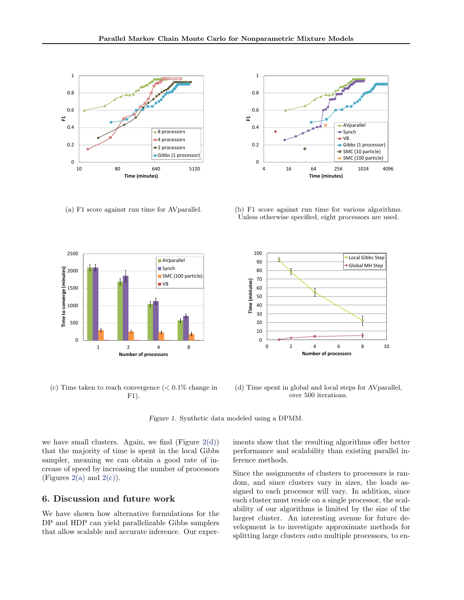<span id="page-6-0"></span>

(a) F1 score against run time for AVparallel.



(c) Time taken to reach convergence  $\langle < 0.1\%$  change in F1).



(b) F1 score against run time for various algorithms. Unless otherwise specified, eight processors are used.



(d) Time spent in global and local steps for AVparallel, over 500 iterations.

Figure 1. Synthetic data modeled using a DPMM.

we have small clusters. Again, we find (Figure  $2(d)$ ) that the majority of time is spent in the local Gibbs sampler, meaning we can obtain a good rate of increase of speed by increasing the number of processors (Figures [2\(a\)](#page-7-0) and  $2(c)$ ).

# 6. Discussion and future work

We have shown how alternative formulations for the DP and HDP can yield parallelizable Gibbs samplers that allow scalable and accurate inference. Our experiments show that the resulting algorithms offer better performance and scalability than existing parallel inference methods.

Since the assignments of clusters to processors is random, and since clusters vary in sizes, the loads assigned to each processor will vary. In addition, since each cluster must reside on a single processor, the scalability of our algorithms is limited by the size of the largest cluster. An interesting avenue for future development is to investigate approximate methods for splitting large clusters onto multiple processors, to en-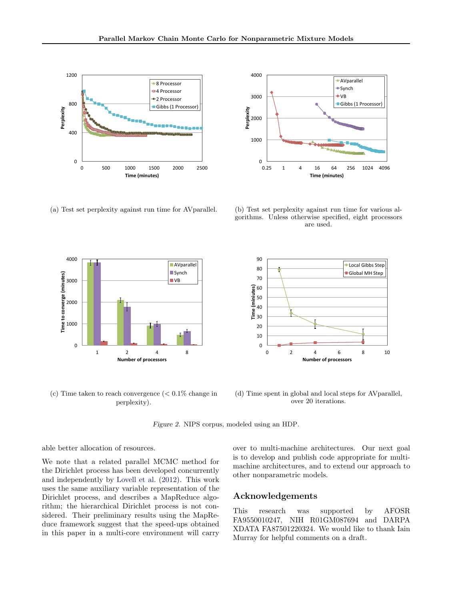<span id="page-7-0"></span>

(a) Test set perplexity against run time for AVparallel.



(c) Time taken to reach convergence  $\approx 0.1\%$  change in perplexity).



(b) Test set perplexity against run time for various algorithms. Unless otherwise specified, eight processors are used.



(d) Time spent in global and local steps for AVparallel, over 20 iterations.

Figure 2. NIPS corpus, modeled using an HDP.

### able better allocation of resources.

We note that a related parallel MCMC method for the Dirichlet process has been developed concurrently and independently by [Lovell et al.](#page-8-0) [\(2012\)](#page-8-0). This work uses the same auxiliary variable representation of the Dirichlet process, and describes a MapReduce algorithm; the hierarchical Dirichlet process is not considered. Their preliminary results using the MapReduce framework suggest that the speed-ups obtained in this paper in a multi-core environment will carry over to multi-machine architectures. Our next goal is to develop and publish code appropriate for multimachine architectures, and to extend our approach to other nonparametric models.

# Acknowledgements

This research was supported by AFOSR FA9550010247, NIH R01GM087694 and DARPA XDATA FA87501220324. We would like to thank Iain Murray for helpful comments on a draft.